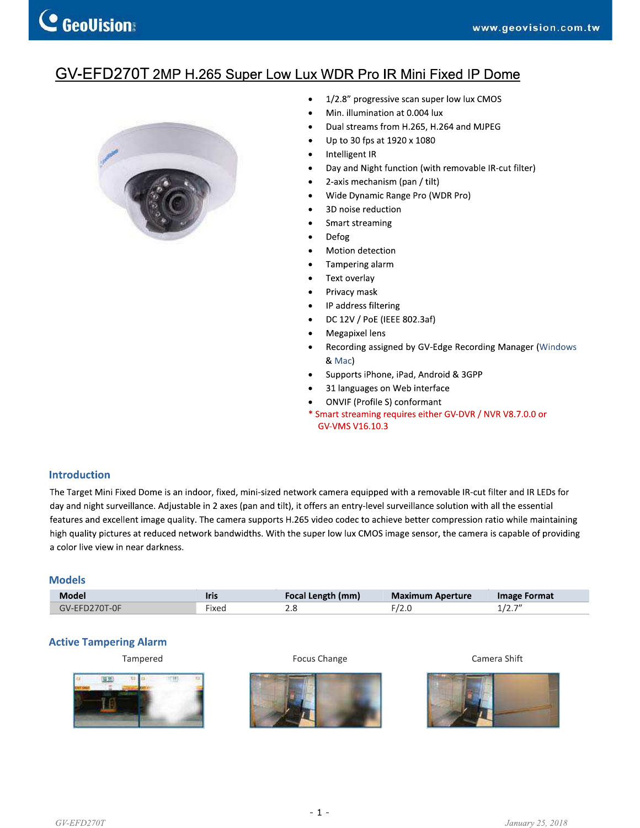# GV-EFD270T 2MP H.265 Super Low Lux WDR Pro IR Mini Fixed IP Dome



- 1/2.8" progressive scan super low lux CMOS  $\bullet$
- Min. illumination at 0.004 lux
- Dual streams from H.265, H.264 and MJPEG
- Up to 30 fps at 1920 x 1080
- Intelligent IR
- Day and Night function (with removable IR-cut filter)
- 2-axis mechanism (pan / tilt)
- Wide Dynamic Range Pro (WDR Pro)
- 3D noise reduction
- Smart streaming
- Defog
- $\bullet$ Motion detection
- Tampering alarm
- Text overlay
- Privacy mask
- IP address filtering  $\bullet$
- DC 12V / PoE (IEEE 802.3af)
- Megapixel lens
- Recording assigned by GV-Edge Recording Manager (Windows & Mac)
- Supports iPhone, iPad, Android & 3GPP
- 31 languages on Web interface
- ONVIF (Profile S) conformant
- \* Smart streaming requires either GV-DVR / NVR V8.7.0.0 or GV-VMS V16.10.3

#### **Introduction**

The Target Mini Fixed Dome is an indoor, fixed, mini-sized network camera equipped with a removable IR-cut filter and IR LEDs for day and night surveillance. Adjustable in 2 axes (pan and tilt), it offers an entry-level surveillance solution with all the essential features and excellent image quality. The camera supports H.265 video codec to achieve better compression ratio while maintaining high quality pictures at reduced network bandwidths. With the super low lux CMOS image sensor, the camera is capable of providing a color live view in near darkness.

#### **Models**

| Model          | Iris         | u enath i<br>(mm) | <b>Maximum</b><br>Aperture | Image Format            |
|----------------|--------------|-------------------|----------------------------|-------------------------|
| 70T-0F<br>AV-F | - -<br>·ixed | z.c               | $\sim$                     | $\rightarrow$<br>11 L.I |

### **Active Tampering Alarm**

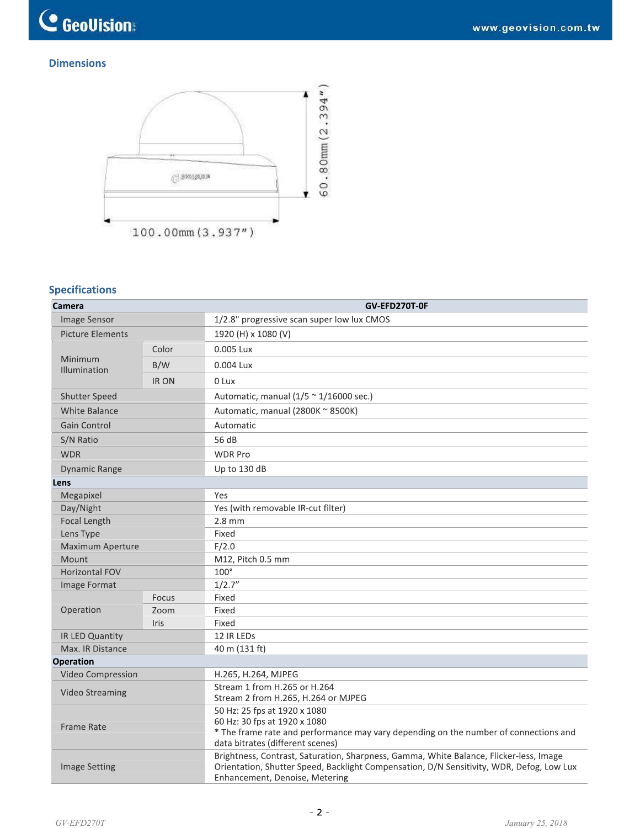

## **Dimensions**



# **Specifications**

| Camera                  |             | GV-EFD270T-0F                                                                                                                                                                                                        |  |  |
|-------------------------|-------------|----------------------------------------------------------------------------------------------------------------------------------------------------------------------------------------------------------------------|--|--|
| Image Sensor            |             | 1/2.8" progressive scan super low lux CMOS                                                                                                                                                                           |  |  |
| <b>Picture Elements</b> |             | 1920 (H) x 1080 (V)                                                                                                                                                                                                  |  |  |
| Minimum<br>Illumination | Color       | 0.005 Lux                                                                                                                                                                                                            |  |  |
|                         | B/W         | 0.004 Lux                                                                                                                                                                                                            |  |  |
|                         | IR ON       | 0 Lux                                                                                                                                                                                                                |  |  |
| Shutter Speed           |             | Automatic, manual $(1/5 \approx 1/16000 \text{ sec.})$                                                                                                                                                               |  |  |
| <b>White Balance</b>    |             | Automatic, manual (2800K ~ 8500K)                                                                                                                                                                                    |  |  |
| Gain Control            |             | Automatic                                                                                                                                                                                                            |  |  |
| S/N Ratio               |             | 56 dB                                                                                                                                                                                                                |  |  |
| <b>WDR</b>              |             | <b>WDR Pro</b>                                                                                                                                                                                                       |  |  |
| <b>Dynamic Range</b>    |             | Up to 130 dB                                                                                                                                                                                                         |  |  |
| Lens                    |             |                                                                                                                                                                                                                      |  |  |
| Megapixel               |             | Yes                                                                                                                                                                                                                  |  |  |
| Day/Night               |             | Yes (with removable IR-cut filter)                                                                                                                                                                                   |  |  |
| Focal Length            |             | $2.8$ mm                                                                                                                                                                                                             |  |  |
| Lens Type               |             | Fixed                                                                                                                                                                                                                |  |  |
| Maximum Aperture        |             | F/2.0                                                                                                                                                                                                                |  |  |
| Mount                   |             | M12, Pitch 0.5 mm                                                                                                                                                                                                    |  |  |
| Horizontal FOV          |             | $100^\circ$                                                                                                                                                                                                          |  |  |
| Image Format            |             | 1/2.7''                                                                                                                                                                                                              |  |  |
|                         | Focus       | Fixed                                                                                                                                                                                                                |  |  |
| Operation               | Zoom        | Fixed                                                                                                                                                                                                                |  |  |
|                         | <b>Iris</b> | Fixed                                                                                                                                                                                                                |  |  |
| IR LED Quantity         |             | 12 IR LEDs                                                                                                                                                                                                           |  |  |
| Max. IR Distance        |             | 40 m (131 ft)                                                                                                                                                                                                        |  |  |
| Operation               |             |                                                                                                                                                                                                                      |  |  |
| Video Compression       |             | H.265, H.264, MJPEG                                                                                                                                                                                                  |  |  |
| <b>Video Streaming</b>  |             | Stream 1 from H.265 or H.264<br>Stream 2 from H.265, H.264 or MJPEG                                                                                                                                                  |  |  |
| <b>Frame Rate</b>       |             | 50 Hz: 25 fps at 1920 x 1080<br>60 Hz: 30 fps at 1920 x 1080<br>* The frame rate and performance may vary depending on the number of connections and<br>data bitrates (different scenes)                             |  |  |
| <b>Image Setting</b>    |             | Brightness, Contrast, Saturation, Sharpness, Gamma, White Balance, Flicker-less, Image<br>Orientation, Shutter Speed, Backlight Compensation, D/N Sensitivity, WDR, Defog, Low Lux<br>Enhancement, Denoise, Metering |  |  |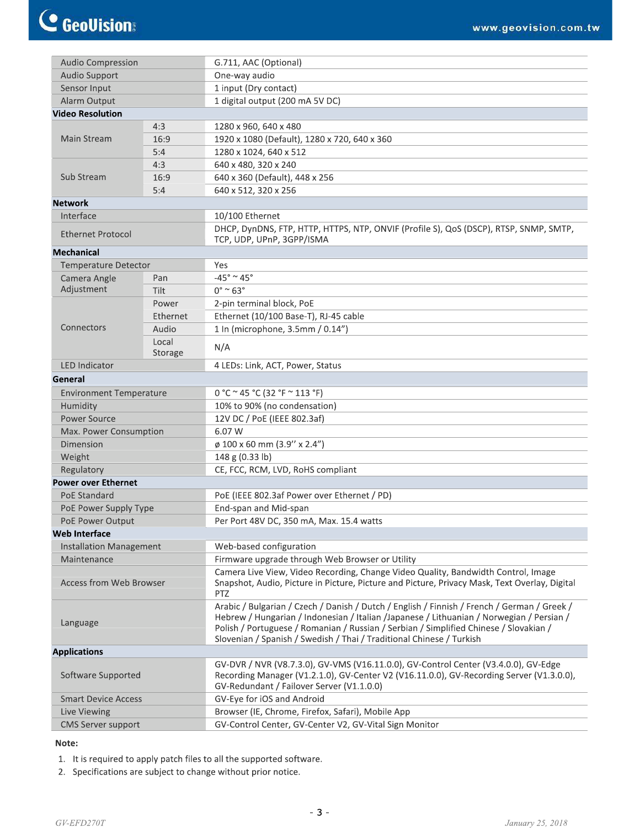| <b>Audio Compression</b>       |                  | G.711, AAC (Optional)                                                                                                                                                                                                                                                                                                                                     |  |
|--------------------------------|------------------|-----------------------------------------------------------------------------------------------------------------------------------------------------------------------------------------------------------------------------------------------------------------------------------------------------------------------------------------------------------|--|
| Audio Support                  |                  | One-way audio                                                                                                                                                                                                                                                                                                                                             |  |
| Sensor Input                   |                  | 1 input (Dry contact)                                                                                                                                                                                                                                                                                                                                     |  |
| Alarm Output                   |                  | 1 digital output (200 mA 5V DC)                                                                                                                                                                                                                                                                                                                           |  |
| <b>Video Resolution</b>        |                  |                                                                                                                                                                                                                                                                                                                                                           |  |
| 4:3                            |                  | 1280 x 960, 640 x 480                                                                                                                                                                                                                                                                                                                                     |  |
| Main Stream                    | 16:9             | 1920 x 1080 (Default), 1280 x 720, 640 x 360                                                                                                                                                                                                                                                                                                              |  |
|                                | 5:4              | 1280 x 1024, 640 x 512                                                                                                                                                                                                                                                                                                                                    |  |
| Sub Stream                     | 4:3              | 640 x 480, 320 x 240                                                                                                                                                                                                                                                                                                                                      |  |
|                                | 16:9             | 640 x 360 (Default), 448 x 256                                                                                                                                                                                                                                                                                                                            |  |
|                                | 5:4              | 640 x 512, 320 x 256                                                                                                                                                                                                                                                                                                                                      |  |
| <b>Network</b>                 |                  |                                                                                                                                                                                                                                                                                                                                                           |  |
| Interface                      |                  | 10/100 Ethernet                                                                                                                                                                                                                                                                                                                                           |  |
| Ethernet Protocol              |                  | DHCP, DynDNS, FTP, HTTP, HTTPS, NTP, ONVIF (Profile S), QoS (DSCP), RTSP, SNMP, SMTP,<br>TCP, UDP, UPnP, 3GPP/ISMA                                                                                                                                                                                                                                        |  |
| <b>Mechanical</b>              |                  |                                                                                                                                                                                                                                                                                                                                                           |  |
| <b>Temperature Detector</b>    |                  | Yes                                                                                                                                                                                                                                                                                                                                                       |  |
| Camera Angle                   | Pan              | $-45^\circ \simeq 45^\circ$                                                                                                                                                                                                                                                                                                                               |  |
| Adjustment                     | Tilt             | $0^\circ$ ~ 63°                                                                                                                                                                                                                                                                                                                                           |  |
|                                | Power            | 2-pin terminal block, PoE                                                                                                                                                                                                                                                                                                                                 |  |
|                                | Ethernet         | Ethernet (10/100 Base-T), RJ-45 cable                                                                                                                                                                                                                                                                                                                     |  |
| Connectors                     | Audio            | 1 In (microphone, 3.5mm / 0.14")                                                                                                                                                                                                                                                                                                                          |  |
|                                | Local<br>Storage | N/A                                                                                                                                                                                                                                                                                                                                                       |  |
| <b>LED Indicator</b>           |                  | 4 LEDs: Link, ACT, Power, Status                                                                                                                                                                                                                                                                                                                          |  |
| General                        |                  |                                                                                                                                                                                                                                                                                                                                                           |  |
| <b>Environment Temperature</b> |                  | 0 °C ~ 45 °C (32 °F ~ 113 °F)                                                                                                                                                                                                                                                                                                                             |  |
| Humidity                       |                  | 10% to 90% (no condensation)                                                                                                                                                                                                                                                                                                                              |  |
| <b>Power Source</b>            |                  | 12V DC / PoE (IEEE 802.3af)                                                                                                                                                                                                                                                                                                                               |  |
| Max. Power Consumption         |                  | 6.07 W                                                                                                                                                                                                                                                                                                                                                    |  |
| Dimension                      |                  | ø 100 x 60 mm (3.9" x 2.4")                                                                                                                                                                                                                                                                                                                               |  |
| Weight                         |                  | 148 g (0.33 lb)                                                                                                                                                                                                                                                                                                                                           |  |
| Regulatory                     |                  | CE, FCC, RCM, LVD, RoHS compliant                                                                                                                                                                                                                                                                                                                         |  |
| <b>Power over Ethernet</b>     |                  |                                                                                                                                                                                                                                                                                                                                                           |  |
| <b>PoE Standard</b>            |                  | PoE (IEEE 802.3af Power over Ethernet / PD)                                                                                                                                                                                                                                                                                                               |  |
| PoE Power Supply Type          |                  | End-span and Mid-span                                                                                                                                                                                                                                                                                                                                     |  |
| <b>PoE Power Output</b>        |                  | Per Port 48V DC, 350 mA, Max. 15.4 watts                                                                                                                                                                                                                                                                                                                  |  |
| Web Interface                  |                  |                                                                                                                                                                                                                                                                                                                                                           |  |
| <b>Installation Management</b> |                  | Web-based configuration                                                                                                                                                                                                                                                                                                                                   |  |
| Maintenance                    |                  | Firmware upgrade through Web Browser or Utility                                                                                                                                                                                                                                                                                                           |  |
| <b>Access from Web Browser</b> |                  | Camera Live View, Video Recording, Change Video Quality, Bandwidth Control, Image<br>Snapshot, Audio, Picture in Picture, Picture and Picture, Privacy Mask, Text Overlay, Digital<br><b>PTZ</b>                                                                                                                                                          |  |
| Language                       |                  | Arabic / Bulgarian / Czech / Danish / Dutch / English / Finnish / French / German / Greek /<br>Hebrew / Hungarian / Indonesian / Italian / Japanese / Lithuanian / Norwegian / Persian /<br>Polish / Portuguese / Romanian / Russian / Serbian / Simplified Chinese / Slovakian /<br>Slovenian / Spanish / Swedish / Thai / Traditional Chinese / Turkish |  |
| <b>Applications</b>            |                  |                                                                                                                                                                                                                                                                                                                                                           |  |
| Software Supported             |                  | GV-DVR / NVR (V8.7.3.0), GV-VMS (V16.11.0.0), GV-Control Center (V3.4.0.0), GV-Edge<br>Recording Manager (V1.2.1.0), GV-Center V2 (V16.11.0.0), GV-Recording Server (V1.3.0.0),<br>GV-Redundant / Failover Server (V1.1.0.0)                                                                                                                              |  |
| <b>Smart Device Access</b>     |                  | GV-Eye for iOS and Android                                                                                                                                                                                                                                                                                                                                |  |
| Live Viewing                   |                  | Browser (IE, Chrome, Firefox, Safari), Mobile App                                                                                                                                                                                                                                                                                                         |  |
| <b>CMS Server support</b>      |                  | GV-Control Center, GV-Center V2, GV-Vital Sign Monitor                                                                                                                                                                                                                                                                                                    |  |

### Note:

- 1. It is required to apply patch files to all the supported software.
- 2. Specifications are subject to change without prior notice.